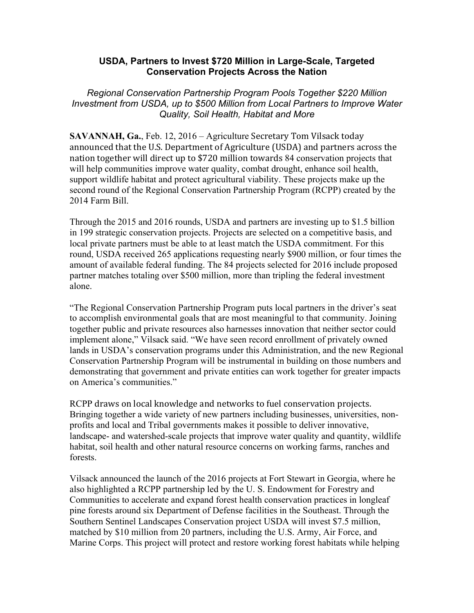## **USDA, Partners to Invest \$720 Million in Large-Scale, Targeted Conservation Projects Across the Nation**

*Regional Conservation Partnership Program Pools Together \$220 Million Investment from USDA, up to \$500 Million from Local Partners to Improve Water Quality, Soil Health, Habitat and More*

SAVANNAH, Ga., Feb. 12, 2016 – Agriculture Secretary Tom Vilsack today announced that the U.S. Department of Agriculture (USDA) and partners across the nation together will direct up to \$720 million towards 84 conservation projects that will help communities improve water quality, combat drought, enhance soil health, support wildlife habitat and protect agricultural viability. These projects make up the second round of the Regional Conservation Partnership Program (RCPP) created by the 2014 Farm Bill.

Through the 2015 and 2016 rounds, USDA and partners are investing up to \$1.5 billion in 199 strategic conservation projects. Projects are selected on a competitive basis, and local private partners must be able to at least match the USDA commitment. For this round, USDA received 265 applications requesting nearly \$900 million, or four times the amount of available federal funding. The 84 projects selected for 2016 include proposed partner matches totaling over \$500 million, more than tripling the federal investment alone.

"The Regional Conservation Partnership Program puts local partners in the driver's seat to accomplish environmental goals that are most meaningful to that community. Joining together public and private resources also harnesses innovation that neither sector could implement alone," Vilsack said. "We have seen record enrollment of privately owned lands in USDA's conservation programs under this Administration, and the new Regional Conservation Partnership Program will be instrumental in building on those numbers and demonstrating that government and private entities can work together for greater impacts on America's communities."

RCPP draws on local knowledge and networks to fuel conservation projects. Bringing together a wide variety of new partners including businesses, universities, nonprofits and local and Tribal governments makes it possible to deliver innovative, landscape- and watershed-scale projects that improve water quality and quantity, wildlife habitat, soil health and other natural resource concerns on working farms, ranches and forests.

Vilsack announced the launch of the 2016 projects at Fort Stewart in Georgia, where he also highlighted a RCPP partnership led by the U. S. Endowment for Forestry and Communities to accelerate and expand forest health conservation practices in longleaf pine forests around six Department of Defense facilities in the Southeast. Through the Southern Sentinel Landscapes Conservation project USDA will invest \$7.5 million, matched by \$10 million from 20 partners, including the U.S. Army, Air Force, and Marine Corps. This project will protect and restore working forest habitats while helping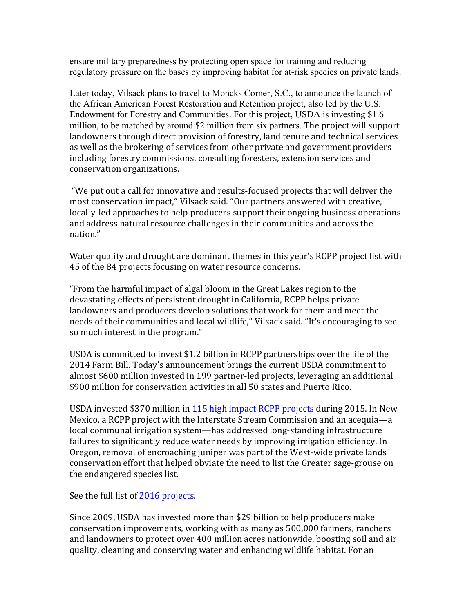ensure military preparedness by protecting open space for training and reducing regulatory pressure on the bases by improving habitat for at-risk species on private lands.

Later today, Vilsack plans to travel to Moncks Corner, S.C., to announce the launch of the African American Forest Restoration and Retention project, also led by the U.S. Endowment for Forestry and Communities. For this project, USDA is investing \$1.6 million, to be matched by around \$2 million from six partners. The project will support landowners through direct provision of forestry, land tenure and technical services as well as the brokering of services from other private and government providers including forestry commissions, consulting foresters, extension services and conservation organizations.

"We put out a call for innovative and results-focused projects that will deliver the most conservation impact," Vilsack said. "Our partners answered with creative, locally-led approaches to help producers support their ongoing business operations and address natural resource challenges in their communities and across the nation."

Water quality and drought are dominant themes in this year's RCPP project list with 45 of the 84 projects focusing on water resource concerns.

"From the harmful impact of algal bloom in the Great Lakes region to the devastating effects of persistent drought in California, RCPP helps private landowners and producers develop solutions that work for them and meet the needs of their communities and local wildlife," Vilsack said. "It's encouraging to see so much interest in the program."

USDA is committed to invest \$1.2 billion in RCPP partnerships over the life of the 2014 Farm Bill. Today's announcement brings the current USDA commitment to almost \$600 million invested in 199 partner-led projects, leveraging an additional \$900 million for conservation activities in all 50 states and Puerto Rico.

USDA invested \$370 million in  $115$  high impact RCPP projects during 2015. In New Mexico, a RCPP project with the Interstate Stream Commission and an acequia—a local communal irrigation system—has addressed long-standing infrastructure failures to significantly reduce water needs by improving irrigation efficiency. In Oregon, removal of encroaching juniper was part of the West-wide private lands conservation effort that helped obviate the need to list the Greater sage-grouse on the endangered species list.

See the full list of 2016 projects.

Since 2009, USDA has invested more than \$29 billion to help producers make conservation improvements, working with as many as 500,000 farmers, ranchers and landowners to protect over 400 million acres nationwide, boosting soil and air quality, cleaning and conserving water and enhancing wildlife habitat. For an